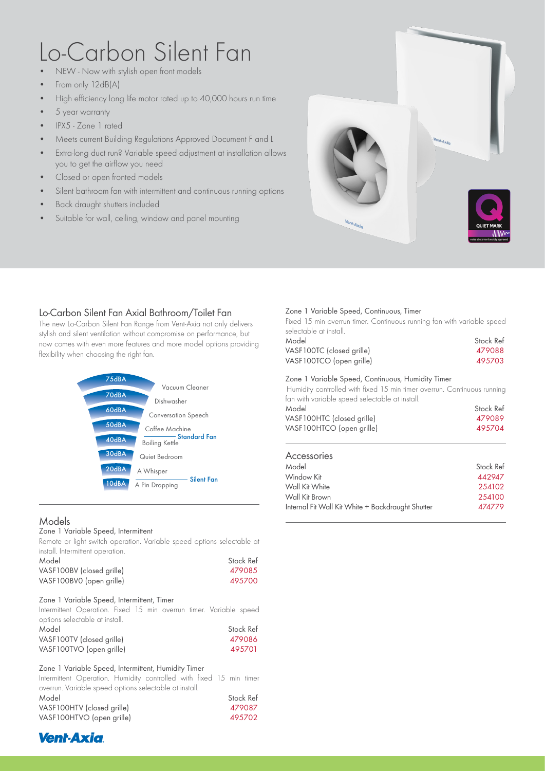# Lo-Carbon Silent Fan

- NEW Now with stylish open front models
- From only 12dB(A)
- High efficiency long life motor rated up to 40,000 hours run time
- 5 year warranty
- IPX5 Zone 1 rated
- Meets current Building Regulations Approved Document F and L
- Extra-long duct run? Variable speed adjustment at installation allows you to get the airflow you need
- Closed or open fronted models
- Silent bathroom fan with intermittent and continuous running options
- Back draught shutters included
- Suitable for wall, ceiling, window and panel mounting



## Lo-Carbon Silent Fan Axial Bathroom/Toilet Fan

The new Lo-Carbon Silent Fan Range from Vent-Axia not only delivers stylish and silent ventilation without compromise on performance, but now comes with even more features and more model options providing flexibility when choosing the right fan.



## Models

#### Zone 1 Variable Speed, Intermittent

Remote or light switch operation. Variable speed options selectable at install. Intermittent operation.

| Model                     | Stock Ref |
|---------------------------|-----------|
| VASF100BV (closed grille) | 479085    |
| VASF100BV0 (open grille)  | 495700    |

#### Zone 1 Variable Speed, Intermittent, Timer

Intermittent Operation. Fixed 15 min overrun timer. Variable speed options selectable at install.

| Model                     | Stock Ref |
|---------------------------|-----------|
| VASF100TV (closed grille) | 479086    |
| VASF100TVO (open grille)  | 495701    |

#### Zone 1 Variable Speed, Intermittent, Humidity Timer

Intermittent Operation. Humidity controlled with fixed 15 min timer overrun. Variable speed options selectable at install.

| Model                      | Stock Ref |
|----------------------------|-----------|
| VASF100HTV (closed grille) | 479087    |
| VASF100HTVO (open grille)  | 495702    |

### Zone 1 Variable Speed, Continuous, Timer

Fixed 15 min overrun timer. Continuous running fan with variable speed selectable at install.

| Model                     | Stock Ref |
|---------------------------|-----------|
| VASF100TC (closed grille) | 479088    |
| VASF100TCO (open grille)  | 495703    |

#### Zone 1 Variable Speed, Continuous, Humidity Timer

Humidity controlled with fixed 15 min timer overrun. Continuous running fan with variable speed selectable at install.

| Stock Ref |
|-----------|
| 479089    |
| 495704    |
|           |

## Accessories

| Model                                             | Stock Ref |
|---------------------------------------------------|-----------|
| Window Kit                                        | 442947    |
| Wall Kit White                                    | 254102    |
| Wall Kit Brown                                    | 254100    |
| Internal Fit Wall Kit White + Backdraught Shutter | 474779    |